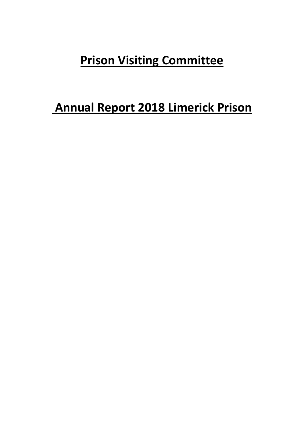## **Prison Visiting Committee**

## **Annual Report 2018 Limerick Prison**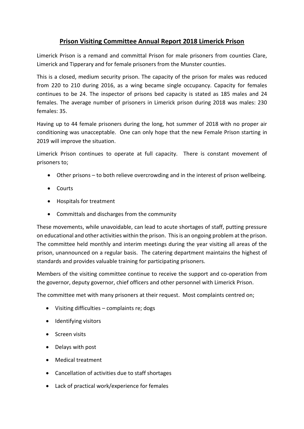## **Prison Visiting Committee Annual Report 2018 Limerick Prison**

Limerick Prison is a remand and committal Prison for male prisoners from counties Clare, Limerick and Tipperary and for female prisoners from the Munster counties.

This is a closed, medium security prison. The capacity of the prison for males was reduced from 220 to 210 during 2016, as a wing became single occupancy. Capacity for females continues to be 24. The inspector of prisons bed capacity is stated as 185 males and 24 females. The average number of prisoners in Limerick prison during 2018 was males: 230 females: 35.

Having up to 44 female prisoners during the long, hot summer of 2018 with no proper air conditioning was unacceptable. One can only hope that the new Female Prison starting in 2019 will improve the situation.

Limerick Prison continues to operate at full capacity. There is constant movement of prisoners to;

- Other prisons to both relieve overcrowding and in the interest of prison wellbeing.
- Courts
- Hospitals for treatment
- Committals and discharges from the community

These movements, while unavoidable, can lead to acute shortages of staff, putting pressure on educational and other activities within the prison. This is an ongoing problem at the prison. The committee held monthly and interim meetings during the year visiting all areas of the prison, unannounced on a regular basis. The catering department maintains the highest of standards and provides valuable training for participating prisoners.

Members of the visiting committee continue to receive the support and co-operation from the governor, deputy governor, chief officers and other personnel with Limerick Prison.

The committee met with many prisoners at their request. Most complaints centred on;

- Visiting difficulties complaints re; dogs
- Identifying visitors
- Screen visits
- Delays with post
- Medical treatment
- Cancellation of activities due to staff shortages
- Lack of practical work/experience for females